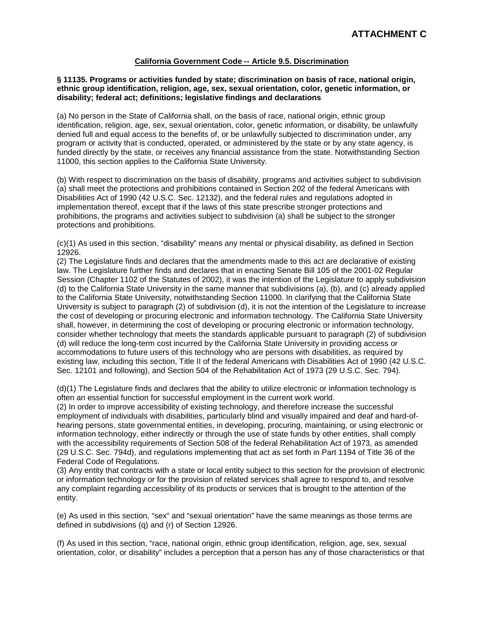# **California Government Code -- Article 9.5. Discrimination**

#### **§ 11135. Programs or activities funded by state; discrimination on basis of race, national origin, ethnic group identification, religion, age, sex, sexual orientation, color, genetic information, or disability; federal act; definitions; legislative findings and declarations**

(a) No person in the State of California shall, on the basis of race, national origin, ethnic group identification, religion, age, sex, sexual orientation, color, genetic information, or disability, be unlawfully denied full and equal access to the benefits of, or be unlawfully subjected to discrimination under, any program or activity that is conducted, operated, or administered by the state or by any state agency, is funded directly by the state, or receives any financial assistance from the state. Notwithstanding Section 11000, this section applies to the California State University.

(b) With respect to discrimination on the basis of disability, programs and activities subject to subdivision (a) shall meet the protections and prohibitions contained in Section 202 of the federal Americans with Disabilities Act of 1990 (42 U.S.C. Sec. 12132), and the federal rules and regulations adopted in implementation thereof, except that if the laws of this state prescribe stronger protections and prohibitions, the programs and activities subject to subdivision (a) shall be subject to the stronger protections and prohibitions.

(c)(1) As used in this section, "disability" means any mental or physical disability, as defined in Section 12926.

(2) The Legislature finds and declares that the amendments made to this act are declarative of existing law. The Legislature further finds and declares that in enacting Senate Bill 105 of the 2001-02 Regular Session (Chapter 1102 of the Statutes of 2002), it was the intention of the Legislature to apply subdivision (d) to the California State University in the same manner that subdivisions (a), (b), and (c) already applied to the California State University, notwithstanding Section 11000. In clarifying that the California State University is subject to paragraph (2) of subdivision (d), it is not the intention of the Legislature to increase the cost of developing or procuring electronic and information technology. The California State University shall, however, in determining the cost of developing or procuring electronic or information technology, consider whether technology that meets the standards applicable pursuant to paragraph (2) of subdivision (d) will reduce the long-term cost incurred by the California State University in providing access or accommodations to future users of this technology who are persons with disabilities, as required by existing law, including this section, Title II of the federal Americans with Disabilities Act of 1990 (42 U.S.C. Sec. 12101 and following), and Section 504 of the Rehabilitation Act of 1973 (29 U.S.C. Sec. 794).

(d)(1) The Legislature finds and declares that the ability to utilize electronic or information technology is often an essential function for successful employment in the current work world.

(2) In order to improve accessibility of existing technology, and therefore increase the successful employment of individuals with disabilities, particularly blind and visually impaired and deaf and hard-ofhearing persons, state governmental entities, in developing, procuring, maintaining, or using electronic or information technology, either indirectly or through the use of state funds by other entities, shall comply with the accessibility requirements of Section 508 of the federal Rehabilitation Act of 1973, as amended (29 U.S.C. Sec. 794d), and regulations implementing that act as set forth in Part 1194 of Title 36 of the Federal Code of Regulations.

(3) Any entity that contracts with a state or local entity subject to this section for the provision of electronic or information technology or for the provision of related services shall agree to respond to, and resolve any complaint regarding accessibility of its products or services that is brought to the attention of the entity.

(e) As used in this section, "sex" and "sexual orientation" have the same meanings as those terms are defined in subdivisions (q) and (r) of Section 12926.

(f) As used in this section, "race, national origin, ethnic group identification, religion, age, sex, sexual orientation, color, or disability" includes a perception that a person has any of those characteristics or that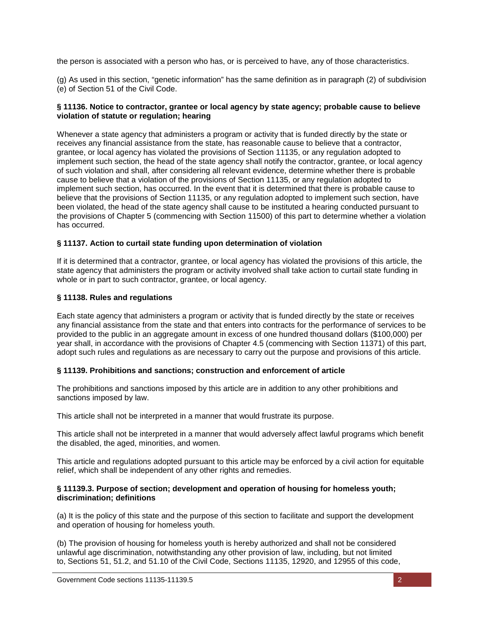the person is associated with a person who has, or is perceived to have, any of those characteristics.

(g) As used in this section, "genetic information" has the same definition as in paragraph (2) of subdivision (e) of Section 51 of the Civil Code.

### **§ 11136. Notice to contractor, grantee or local agency by state agency; probable cause to believe violation of statute or regulation; hearing**

Whenever a state agency that administers a program or activity that is funded directly by the state or receives any financial assistance from the state, has reasonable cause to believe that a contractor, grantee, or local agency has violated the provisions of Section 11135, or any regulation adopted to implement such section, the head of the state agency shall notify the contractor, grantee, or local agency of such violation and shall, after considering all relevant evidence, determine whether there is probable cause to believe that a violation of the provisions of Section 11135, or any regulation adopted to implement such section, has occurred. In the event that it is determined that there is probable cause to believe that the provisions of Section 11135, or any regulation adopted to implement such section, have been violated, the head of the state agency shall cause to be instituted a hearing conducted pursuant to the provisions of Chapter 5 (commencing with Section 11500) of this part to determine whether a violation has occurred.

# **§ 11137. Action to curtail state funding upon determination of violation**

If it is determined that a contractor, grantee, or local agency has violated the provisions of this article, the state agency that administers the program or activity involved shall take action to curtail state funding in whole or in part to such contractor, grantee, or local agency.

# **§ 11138. Rules and regulations**

Each state agency that administers a program or activity that is funded directly by the state or receives any financial assistance from the state and that enters into contracts for the performance of services to be provided to the public in an aggregate amount in excess of one hundred thousand dollars (\$100,000) per year shall, in accordance with the provisions of Chapter 4.5 (commencing with Section 11371) of this part, adopt such rules and regulations as are necessary to carry out the purpose and provisions of this article.

# **§ 11139. Prohibitions and sanctions; construction and enforcement of article**

The prohibitions and sanctions imposed by this article are in addition to any other prohibitions and sanctions imposed by law.

This article shall not be interpreted in a manner that would frustrate its purpose.

This article shall not be interpreted in a manner that would adversely affect lawful programs which benefit the disabled, the aged, minorities, and women.

This article and regulations adopted pursuant to this article may be enforced by a civil action for equitable relief, which shall be independent of any other rights and remedies.

### **§ 11139.3. Purpose of section; development and operation of housing for homeless youth; discrimination; definitions**

(a) It is the policy of this state and the purpose of this section to facilitate and support the development and operation of housing for homeless youth.

(b) The provision of housing for homeless youth is hereby authorized and shall not be considered unlawful age discrimination, notwithstanding any other provision of law, including, but not limited to, Sections 51, 51.2, and 51.10 of the Civil Code, Sections 11135, 12920, and 12955 of this code,